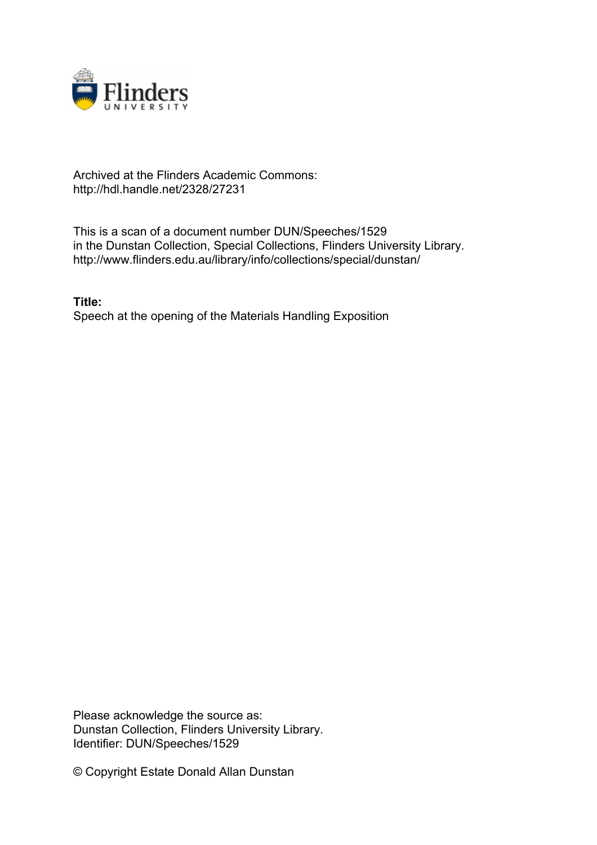

## Archived at the Flinders Academic Commons: http://hdl.handle.net/2328/27231

This is a scan of a document number DUN/Speeches/1529 in the Dunstan Collection, Special Collections, Flinders University Library. http://www.flinders.edu.au/library/info/collections/special/dunstan/

**Title:** Speech at the opening of the Materials Handling Exposition

Please acknowledge the source as: Dunstan Collection, Flinders University Library. Identifier: DUN/Speeches/1529

© Copyright Estate Donald Allan Dunstan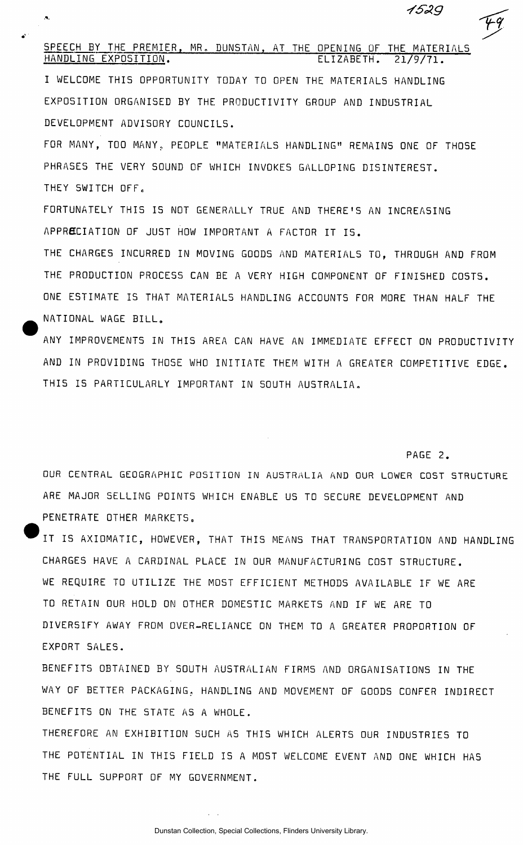## SPEECH BY THE PREMIER, MR. DUNSTAN, AT THE OPENING OF THE MATERIALS HANDLING EXPOSITION. ELIZABETH. 21/9/71.

I WELCOME THIS OPPORTUNITY TODAY TO OPEN THE MATERIALS HANDLING EXPOSITION ORGANISED BY THE PRODUCTIVITY GROUP AND INDUSTRIAL DEVELOPMENT ADVISORY COUNCILS .

FOR MANY, TOO MANY, PEOPLE "MATERIALS HANDLING" REMAINS ONE OF THOSE PHRASES THE VERY SOUND OF WHICH INVOKES GALLOPING DISINTEREST. THEY SWITCH OFF.

FORTUNATELY THIS IS NOT GENERALLY TRUE AND THERE'S AN INCREASING APPRECIATION OF JUST HOW IMPORTANT A FACTOR IT IS .

THE CHARGES INCURRED IN MOVING GOODS AND MATERIALS TO, THROUGH AND FROM THE PRODUCTION PROCESS CAN BE A VERY HIGH COMPONENT OF FINISHED COSTS. ONE ESTIMATE IS THAT MATERIALS HANDLING ACCOUNTS FOR MORE THAN HALF THE NATIONAL WAGE BILL.

ANY IMPROVEMENTS IN THIS AREA CAN HAVE AN IMMEDIATE EFFECT ON PRODUCTIVITY AND IN PROVIDING THOSE WHO INITIATE THEM WITH A GREATER COMPETITIVE EDGE. THIS IS PARTICULARLY IMPORTANT IN SOUTH AUSTRALIA.

PAGE 2.

1529

OUR CENTRAL GEOGRAPHIC POSITION IN AUSTRALIA AND OUR LOWER COST STRUCTURE ARE MAJOR SELLING POINTS WHICH ENABLE US TO SECURE DEVELOPMENT AND PENETRATE OTHER MARKETS.

IT IS AXIOMATIC, HOWEVER, THAT THIS MEANS THAT TRANSPORTATION AND HANDLING CHARGES HAVE A CARDINAL PLACE IN OUR MANUFACTURING COST STRUCTURE. WE REQUIRE TO UTILIZE THE MOST EFFICIENT METHODS AVAILABLE IF WE ARE TO RETAIN OUR HOLD ON OTHER DOMESTIC MARKETS AND IF WE ARE TO DIVERSIFY AWAY FROM OVER-RELIANCE ON THEM TO A GREATER PROPORTION OF EXPORT SALES .

BENEFITS OBTAINED BY SOUTH AUSTRALIAN FIRMS AND ORGANISATIONS IN THE WAY OF BETTER PACKAGING, HANDLING AND MOVEMENT OF GOODS CONFER INDIRECT BENEFITS ON THE STATE AS A WHOLE.

THEREFORE AN EXHIBITION SUCH AS THIS WHICH ALERTS OUR INDUSTRIES TO THE POTENTIAL IN THIS FIELD IS A MOST WELCOME EVENT AND ONE WHICH HAS THE FULL SUPPORT OF MY GOVERNMENT.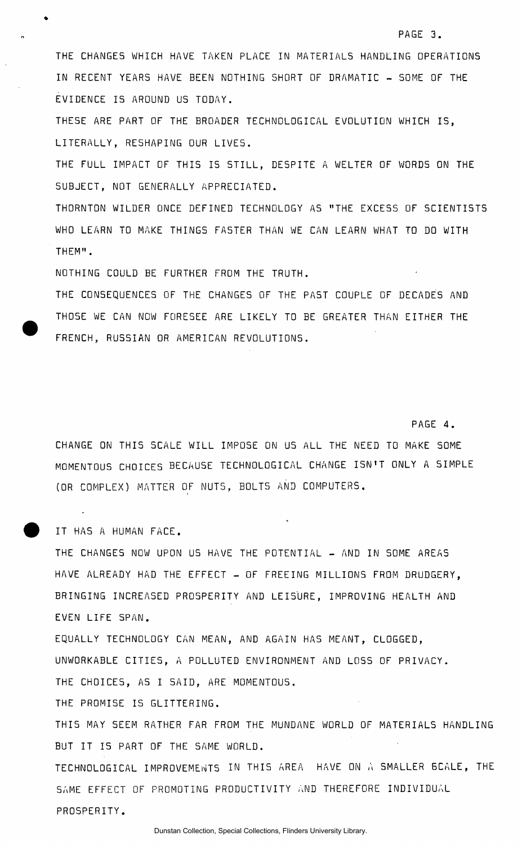THE CHANGES WHICH HAVE TAKEN PLACE IN MATERIALS HANDLING OPERATIONS IN RECENT YEARS HAVE BEEN NOTHING SHORT OF DRAMATIC - SOME OF THE EVIDENCE IS AROUND US TODAY.

THESE ARE PART OF THE BROADER TECHNOLOGICAL EVOLUTION WHICH IS , LITERALLY, RESHAPING OUR LIVES.

THE FULL IMPACT OF THIS IS STILL, DESPITE A WELTER OF WORDS ON THE SUBJECT, NOT GENERALLY APPRECIATED.

THORNTON WILDER ONCE DEFINED TECHNOLOGY AS "THE EXCESS OF SCIENTISTS WHO LEARN TO MAKE THINGS FASTER THAN WE CAN LEARN WHAT TO DO WITH THEM" .

NOTHING COULD BE FURTHER FROM THE TRUTH.

THE CONSEQUENCES OF THE CHANGES OF THE PAST COUPLE OF DECADES AND THOSE WE CAN NOW FORESEE ARE LIKELY TO BE GREATER THAN EITHER THE FRENCH, RUSSIAN OR AMERICAN REVOLUTIONS.

PAGE 4.

CHANGE ON THIS SCALE WILL IMPOSE ON US ALL THE NEED TO MAKE SOME MOMENTOUS CHOICES BECAUSE TECHNOLOGICAL CHANGE ISN'T ONLY A SIMPLE (OR COMPLEX) MATTER OF NUTS, BOLTS AND COMPUTERS.

IT HAS A HUMAN FACE.

THE CHANGES NOW UPON US HAVE THE POTENTIAL - AND IN SOME AREAS HAVE ALREADY HAD THE EFFECT - OF FREEING MILLIONS FROM DRUDGERY, BRINGING INCREASED PROSPERITY AND LEISURE, IMPROVING HEALTH AND EVEN LIFE SPAN.

EQUALLY TECHNOLOGY CAN MEAN, AND AGAIN HAS MEANT, CLOGGED, UNWORKABLE CITIES, A POLLUTED ENVIRONMENT AND LOSS OF PRIVACY. THE CHOICES, AS I SAID, ARE MOMENTOUS.

THE PROMISE IS GLITTERING.

THIS MAY SEEM RATHER FAR FROM THE MUNDANE WORLD OF MATERIALS HANDLING BUT IT IS PART OF THE SAME WORLD.

TECHNOLOGICAL IMPROVEMENTS IN THIS AREA HAVE ON A SMALLER SCALE, THE SAME EFFECT OF PROMOTING PRODUCTIVITY AND THEREFORE INDIVIDUAL PROSPERITY.

## PAGE 3.